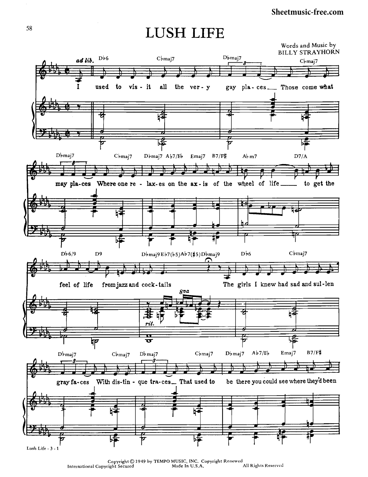## Sheetmusic-free.com

## **LUSH LIFE**



Copyright © 1949 by TEMPO MUSIC, INC. Copyright Renewed<br>right Secured Made In U.S.A. All Rights Reserved International Copyright Secured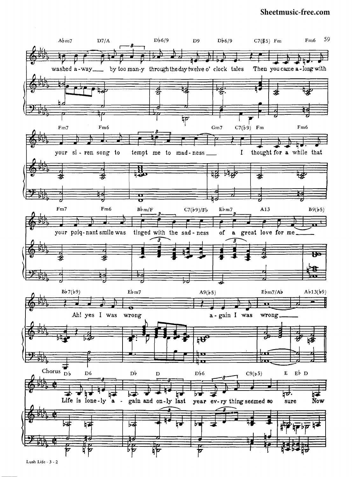## **[Sheetmusic-free.com](http://sheetmusic-free.com/)**